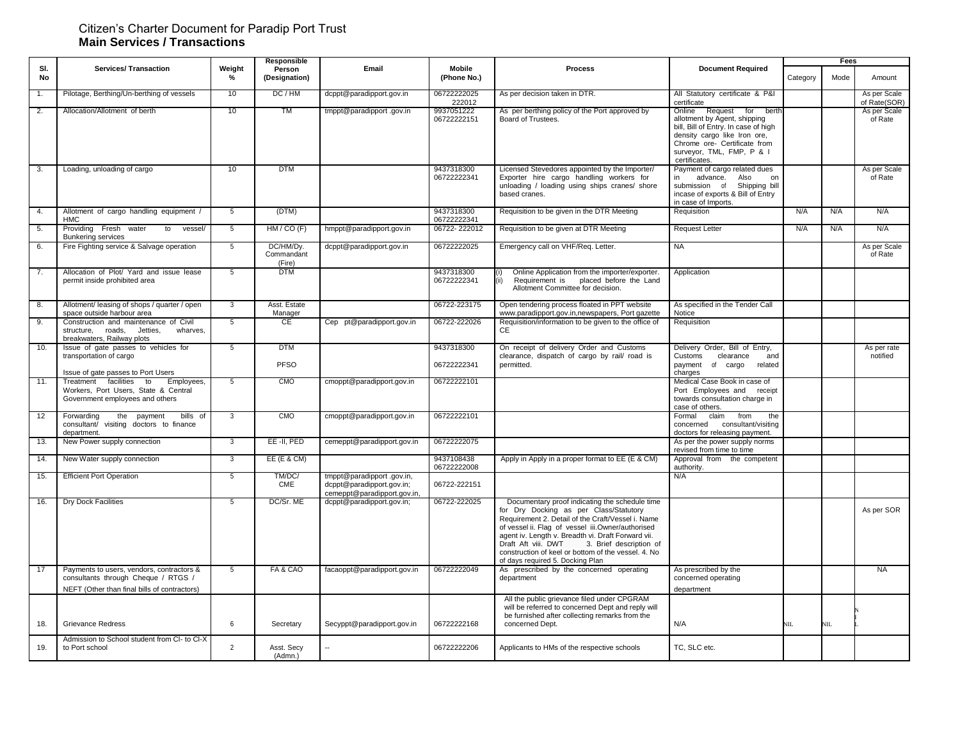#### Citizen's Charter Document for Paradip Port Trust **Main Services / Transactions**

|           |                                                                                                                                  |                         | Responsible                       |                                                                                      |                           |                                                                                                                                                                                                                                                                                                                                                                                                       |                                                                                                                                                                                                                         | Fees     |      |                              |
|-----------|----------------------------------------------------------------------------------------------------------------------------------|-------------------------|-----------------------------------|--------------------------------------------------------------------------------------|---------------------------|-------------------------------------------------------------------------------------------------------------------------------------------------------------------------------------------------------------------------------------------------------------------------------------------------------------------------------------------------------------------------------------------------------|-------------------------------------------------------------------------------------------------------------------------------------------------------------------------------------------------------------------------|----------|------|------------------------------|
| SI.<br>No | <b>Services/ Transaction</b>                                                                                                     | Weight<br>$\frac{9}{6}$ | Person<br>(Designation)           | Email                                                                                | Mobile<br>(Phone No.)     | <b>Process</b>                                                                                                                                                                                                                                                                                                                                                                                        | <b>Document Required</b>                                                                                                                                                                                                | Category | Mode | Amount                       |
| 1.        | Pilotage, Berthing/Un-berthing of vessels                                                                                        | 10                      | DC/HM                             | dcppt@paradipport.gov.in                                                             | 06722222025<br>222012     | As per decision taken in DTR.                                                                                                                                                                                                                                                                                                                                                                         | All Statutory certificate & P&I<br>certificate                                                                                                                                                                          |          |      | As per Scale<br>of Rate(SOR) |
| 2.        | Allocation/Allotment of berth                                                                                                    | 10                      | <b>TM</b>                         | tmppt@paradipport.gov.in                                                             | 9937051222<br>06722222151 | As per berthing policy of the Port approved by<br>Board of Trustees.                                                                                                                                                                                                                                                                                                                                  | Online<br>Request<br>for<br>berth<br>allotment by Agent, shipping<br>bill, Bill of Entry. In case of high<br>density cargo like Iron ore.<br>Chrome ore- Certificate from<br>surveyor, TML, FMP, P & I<br>certificates. |          |      | As per Scale<br>of Rate      |
| 3.        | Loading, unloading of cargo                                                                                                      | 10                      | <b>DTM</b>                        |                                                                                      | 9437318300<br>06722222341 | Licensed Stevedores appointed by the Importer/<br>Exporter hire cargo handling workers for<br>unloading / loading using ships cranes/ shore<br>based cranes.                                                                                                                                                                                                                                          | Payment of cargo related dues<br>in<br>advance.<br>Also<br>on<br>submission of<br>Shipping bill<br>incase of exports & Bill of Entry<br>in case of Imports.                                                             |          |      | As per Scale<br>of Rate      |
| 4.        | Allotment of cargo handling equipment /<br><b>HMC</b>                                                                            | 5                       | (DTM)                             |                                                                                      | 9437318300<br>06722222341 | Requisition to be given in the DTR Meeting                                                                                                                                                                                                                                                                                                                                                            | Requisition                                                                                                                                                                                                             | N/A      | N/A  | N/A                          |
| 5.        | Providing Fresh water<br>to<br>vessel/<br><b>Bunkering services</b>                                                              | $5\overline{)}$         | HM/CO (F)                         | hmppt@paradipport.gov.in                                                             | 06722-222012              | Requisition to be given at DTR Meeting                                                                                                                                                                                                                                                                                                                                                                | <b>Request Letter</b>                                                                                                                                                                                                   | N/A      | N/A  | N/A                          |
| 6.        | Fire Fighting service & Salvage operation                                                                                        | 5                       | DC/HM/Dy.<br>Commandant<br>(Fire) | dcppt@paradipport.gov.in                                                             | 06722222025               | Emergency call on VHF/Req. Letter.                                                                                                                                                                                                                                                                                                                                                                    | <b>NA</b>                                                                                                                                                                                                               |          |      | As per Scale<br>of Rate      |
| 7.        | Allocation of Plot/ Yard and issue lease<br>permit inside prohibited area                                                        | 5                       | <b>DTM</b>                        |                                                                                      | 9437318300<br>06722222341 | Online Application from the importer/exporter.<br>Requirement is<br>placed before the Land<br>(ii)<br>Allotment Committee for decision.                                                                                                                                                                                                                                                               | Application                                                                                                                                                                                                             |          |      |                              |
| 8.        | Allotment/leasing of shops / quarter / open<br>space outside harbour area                                                        | $\mathcal{R}$           | Asst. Estate<br>Manager           |                                                                                      | 06722-223175              | Open tendering process floated in PPT website<br>www.paradipport.gov.in,newspapers, Port gazette                                                                                                                                                                                                                                                                                                      | As specified in the Tender Call<br>Notice                                                                                                                                                                               |          |      |                              |
| 9.        | Construction and maintenance of Civil<br>roads,<br>Jetties,<br>wharves.<br>structure,<br>breakwaters, Railway plots              | 5                       | <b>CE</b>                         | Cep pt@paradipport.gov.in                                                            | 06722-222026              | Requisition/information to be given to the office of<br>CE                                                                                                                                                                                                                                                                                                                                            | Requisition                                                                                                                                                                                                             |          |      |                              |
| 10.       | Issue of gate passes to vehicles for<br>transportation of cargo<br>Issue of gate passes to Port Users                            | 5                       | <b>DTM</b><br><b>PFSO</b>         |                                                                                      | 9437318300<br>06722222341 | On receipt of delivery Order and Customs<br>clearance, dispatch of cargo by rail/ road is<br>permitted.                                                                                                                                                                                                                                                                                               | Delivery Order, Bill of Entry,<br>Customs<br>clearance<br>and<br>payment<br>of cargo<br>related<br>charges                                                                                                              |          |      | As per rate<br>notified      |
| 11.       | Treatment facilities<br>$\overline{t}$<br>Employees,<br>Workers, Port Users, State & Central<br>Government employees and others  | $5\overline{)}$         | <b>CMO</b>                        | cmoppt@paradipport.gov.in                                                            | 06722222101               |                                                                                                                                                                                                                                                                                                                                                                                                       | Medical Case Book in case of<br>Port Employees and receipt<br>towards consultation charge in<br>case of others.                                                                                                         |          |      |                              |
| 12        | bills of<br>Forwarding<br>the<br>payment<br>consultant/ visiting doctors to finance<br>department.                               | 3                       | <b>CMO</b>                        | cmoppt@paradipport.gov.in                                                            | 06722222101               |                                                                                                                                                                                                                                                                                                                                                                                                       | Formal<br>claim<br>from<br>the<br>concerned consultant/visiting<br>doctors for releasing payment.                                                                                                                       |          |      |                              |
| 13.       | New Power supply connection                                                                                                      | 3                       | EE-II, PED                        | cemeppt@paradipport.gov.in                                                           | 06722222075               |                                                                                                                                                                                                                                                                                                                                                                                                       | As per the power supply norms<br>revised from time to time                                                                                                                                                              |          |      |                              |
| 14.       | New Water supply connection                                                                                                      | 3                       | $EE$ (E & CM)                     |                                                                                      | 9437108438<br>06722222008 | Apply in Apply in a proper format to EE (E & CM)                                                                                                                                                                                                                                                                                                                                                      | Approval from the competent<br>authority.                                                                                                                                                                               |          |      |                              |
| 15.       | <b>Efficient Port Operation</b>                                                                                                  | 5                       | TM/DC/<br>CME                     | tmppt@paradipport.gov.in,<br>dcppt@paradipport.gov.in;<br>cemeppt@paradipport.gov.in | 06722-222151              |                                                                                                                                                                                                                                                                                                                                                                                                       | N/A                                                                                                                                                                                                                     |          |      |                              |
| 16.       | <b>Dry Dock Facilities</b>                                                                                                       | 5                       | DC/Sr. ME                         | dcppt@paradipport.gov.in;                                                            | 06722-222025              | Documentary proof indicating the schedule time<br>for Dry Docking as per Class/Statutory<br>Requirement 2. Detail of the Craft/Vessel i. Name<br>of vessel ii. Flag of vessel iii.Owner/authorised<br>agent iv. Length v. Breadth vi. Draft Forward vii.<br>Draft Aft viii. DWT<br>3. Brief description of<br>construction of keel or bottom of the vessel. 4. No<br>of days required 5. Docking Plan |                                                                                                                                                                                                                         |          |      | As per SOR                   |
| 17        | Payments to users, vendors, contractors &<br>consultants through Cheque / RTGS /<br>NEFT (Other than final bills of contractors) | 5                       | FA & CAO                          | facaoppt@paradipport.gov.in                                                          | 06722222049               | As prescribed by the concerned operating<br>department                                                                                                                                                                                                                                                                                                                                                | As prescribed by the<br>concerned operating<br>department                                                                                                                                                               |          |      | <b>NA</b>                    |
| 18.       | <b>Grievance Redress</b>                                                                                                         | 6                       | Secretary                         | Secyppt@paradipport.gov.in                                                           | 06722222168               | All the public grievance filed under CPGRAM<br>will be referred to concerned Dept and reply will<br>be furnished after collecting remarks from the<br>concerned Dept.                                                                                                                                                                                                                                 | N/A                                                                                                                                                                                                                     | NIL.     | NIL  |                              |
| 19.       | Admission to School student from CI- to CI-X<br>to Port school                                                                   | $\overline{2}$          | Asst. Secy<br>(Admn.)             |                                                                                      | 06722222206               | Applicants to HMs of the respective schools                                                                                                                                                                                                                                                                                                                                                           | TC, SLC etc.                                                                                                                                                                                                            |          |      |                              |